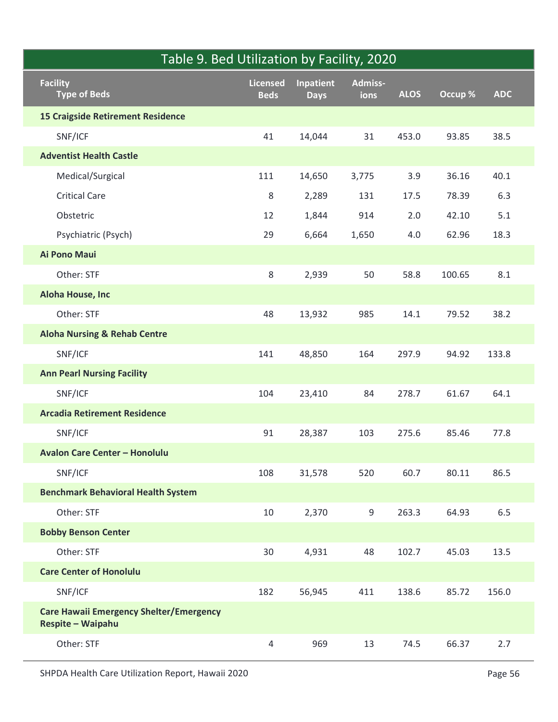| Table 9. Bed Utilization by Facility, 2020                          |                         |                                 |                 |             |         |            |
|---------------------------------------------------------------------|-------------------------|---------------------------------|-----------------|-------------|---------|------------|
| <b>Facility</b><br><b>Type of Beds</b>                              | Licensed<br><b>Beds</b> | <b>Inpatient</b><br><b>Days</b> | Admiss-<br>ions | <b>ALOS</b> | Occup % | <b>ADC</b> |
| <b>15 Craigside Retirement Residence</b>                            |                         |                                 |                 |             |         |            |
| SNF/ICF                                                             | 41                      | 14,044                          | 31              | 453.0       | 93.85   | 38.5       |
| <b>Adventist Health Castle</b>                                      |                         |                                 |                 |             |         |            |
| Medical/Surgical                                                    | 111                     | 14,650                          | 3,775           | 3.9         | 36.16   | 40.1       |
| <b>Critical Care</b>                                                | 8                       | 2,289                           | 131             | 17.5        | 78.39   | 6.3        |
| Obstetric                                                           | 12                      | 1,844                           | 914             | $2.0$       | 42.10   | 5.1        |
| Psychiatric (Psych)                                                 | 29                      | 6,664                           | 1,650           | $4.0\,$     | 62.96   | 18.3       |
| Ai Pono Maui                                                        |                         |                                 |                 |             |         |            |
| Other: STF                                                          | 8                       | 2,939                           | 50              | 58.8        | 100.65  | 8.1        |
| Aloha House, Inc                                                    |                         |                                 |                 |             |         |            |
| Other: STF                                                          | 48                      | 13,932                          | 985             | 14.1        | 79.52   | 38.2       |
| <b>Aloha Nursing &amp; Rehab Centre</b>                             |                         |                                 |                 |             |         |            |
| SNF/ICF                                                             | 141                     | 48,850                          | 164             | 297.9       | 94.92   | 133.8      |
| <b>Ann Pearl Nursing Facility</b>                                   |                         |                                 |                 |             |         |            |
| SNF/ICF                                                             | 104                     | 23,410                          | 84              | 278.7       | 61.67   | 64.1       |
| <b>Arcadia Retirement Residence</b>                                 |                         |                                 |                 |             |         |            |
| SNF/ICF                                                             | 91                      | 28,387                          | 103             | 275.6       | 85.46   | 77.8       |
| <b>Avalon Care Center - Honolulu</b>                                |                         |                                 |                 |             |         |            |
| SNF/ICF                                                             | 108                     | 31,578                          | 520             | 60.7        | 80.11   | 86.5       |
| <b>Benchmark Behavioral Health System</b>                           |                         |                                 |                 |             |         |            |
| Other: STF                                                          | 10                      | 2,370                           | $\mathsf 9$     | 263.3       | 64.93   | 6.5        |
| <b>Bobby Benson Center</b>                                          |                         |                                 |                 |             |         |            |
| Other: STF                                                          | 30                      | 4,931                           | 48              | 102.7       | 45.03   | 13.5       |
| <b>Care Center of Honolulu</b>                                      |                         |                                 |                 |             |         |            |
| SNF/ICF                                                             | 182                     | 56,945                          | 411             | 138.6       | 85.72   | 156.0      |
| <b>Care Hawaii Emergency Shelter/Emergency</b><br>Respite - Waipahu |                         |                                 |                 |             |         |            |
| Other: STF                                                          | $\overline{4}$          | 969                             | 13              | 74.5        | 66.37   | 2.7        |
| SHPDA Health Care Utilization Report, Hawaii 2020                   |                         |                                 |                 |             |         | Page 56    |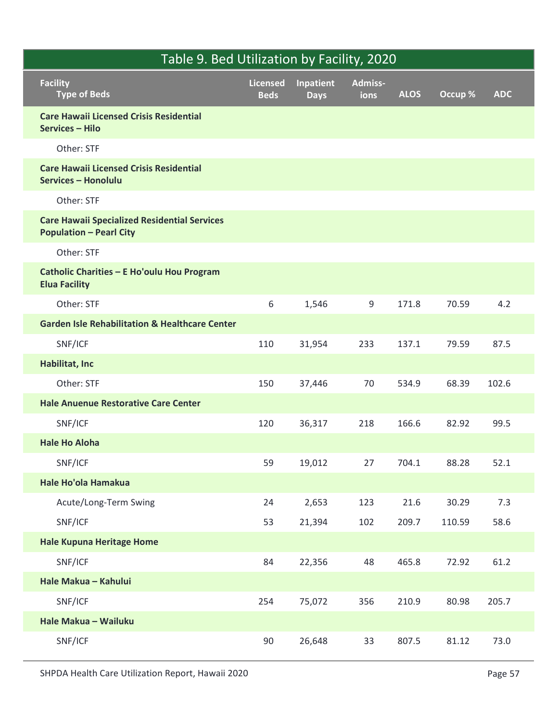| Table 9. Bed Utilization by Facility, 2020                                            |                                |                          |                        |             |         |            |
|---------------------------------------------------------------------------------------|--------------------------------|--------------------------|------------------------|-------------|---------|------------|
| <b>Facility</b><br>Type of Beds                                                       | <b>Licensed</b><br><b>Beds</b> | Inpatient<br><b>Days</b> | <b>Admiss-</b><br>ions | <b>ALOS</b> | Occup % | <b>ADC</b> |
| <b>Care Hawaii Licensed Crisis Residential</b><br><b>Services - Hilo</b>              |                                |                          |                        |             |         |            |
| Other: STF                                                                            |                                |                          |                        |             |         |            |
| <b>Care Hawaii Licensed Crisis Residential</b><br>Services - Honolulu                 |                                |                          |                        |             |         |            |
| Other: STF                                                                            |                                |                          |                        |             |         |            |
| <b>Care Hawaii Specialized Residential Services</b><br><b>Population - Pearl City</b> |                                |                          |                        |             |         |            |
| Other: STF                                                                            |                                |                          |                        |             |         |            |
| Catholic Charities - E Ho'oulu Hou Program<br><b>Elua Facility</b>                    |                                |                          |                        |             |         |            |
| Other: STF                                                                            | $\,6\,$                        | 1,546                    | 9                      | 171.8       | 70.59   | 4.2        |
| <b>Garden Isle Rehabilitation &amp; Healthcare Center</b>                             |                                |                          |                        |             |         |            |
| SNF/ICF                                                                               | 110                            | 31,954                   | 233                    | 137.1       | 79.59   | 87.5       |
| Habilitat, Inc                                                                        |                                |                          |                        |             |         |            |
| Other: STF                                                                            | 150                            | 37,446                   | 70                     | 534.9       | 68.39   | 102.6      |
| <b>Hale Anuenue Restorative Care Center</b>                                           |                                |                          |                        |             |         |            |
| SNF/ICF                                                                               | 120                            | 36,317                   | 218                    | 166.6       | 82.92   | 99.5       |
| <b>Hale Ho Aloha</b>                                                                  |                                |                          |                        |             |         |            |
| SNF/ICF                                                                               | 59                             | 19,012                   | 27                     | 704.1       | 88.28   | 52.1       |
| Hale Ho'ola Hamakua                                                                   |                                |                          |                        |             |         |            |
| Acute/Long-Term Swing                                                                 | 24                             | 2,653                    | 123                    | 21.6        | 30.29   | 7.3        |
| SNF/ICF                                                                               | 53                             | 21,394                   | 102                    | 209.7       | 110.59  | 58.6       |
| <b>Hale Kupuna Heritage Home</b>                                                      |                                |                          |                        |             |         |            |
| SNF/ICF                                                                               | 84                             | 22,356                   | 48                     | 465.8       | 72.92   | 61.2       |
| Hale Makua - Kahului                                                                  |                                |                          |                        |             |         |            |
| SNF/ICF                                                                               | 254                            | 75,072                   | 356                    | 210.9       | 80.98   | 205.7      |
| Hale Makua - Wailuku                                                                  |                                |                          |                        |             |         |            |
| SNF/ICF                                                                               | 90                             | 26,648                   | 33                     | 807.5       | 81.12   | 73.0       |
| SHPDA Health Care Utilization Report, Hawaii 2020                                     |                                |                          |                        |             |         | Page 57    |
|                                                                                       |                                |                          |                        |             |         |            |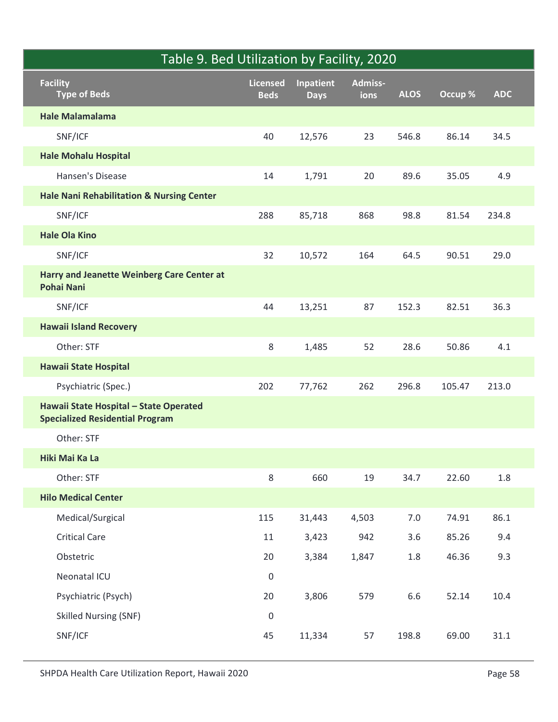| Table 9. Bed Utilization by Facility, 2020                                       |                         |                          |                 |             |         |            |
|----------------------------------------------------------------------------------|-------------------------|--------------------------|-----------------|-------------|---------|------------|
| <b>Facility</b><br><b>Type of Beds</b>                                           | Licensed<br><b>Beds</b> | Inpatient<br><b>Days</b> | Admiss-<br>ions | <b>ALOS</b> | Occup % | <b>ADC</b> |
| <b>Hale Malamalama</b>                                                           |                         |                          |                 |             |         |            |
| SNF/ICF                                                                          | 40                      | 12,576                   | 23              | 546.8       | 86.14   | 34.5       |
| <b>Hale Mohalu Hospital</b>                                                      |                         |                          |                 |             |         |            |
| Hansen's Disease                                                                 | 14                      | 1,791                    | 20              | 89.6        | 35.05   | 4.9        |
| <b>Hale Nani Rehabilitation &amp; Nursing Center</b>                             |                         |                          |                 |             |         |            |
| SNF/ICF                                                                          | 288                     | 85,718                   | 868             | 98.8        | 81.54   | 234.8      |
| <b>Hale Ola Kino</b>                                                             |                         |                          |                 |             |         |            |
| SNF/ICF                                                                          | 32                      | 10,572                   | 164             | 64.5        | 90.51   | 29.0       |
| Harry and Jeanette Weinberg Care Center at<br><b>Pohai Nani</b>                  |                         |                          |                 |             |         |            |
| SNF/ICF                                                                          | 44                      | 13,251                   | 87              | 152.3       | 82.51   | 36.3       |
| <b>Hawaii Island Recovery</b>                                                    |                         |                          |                 |             |         |            |
| Other: STF                                                                       | 8                       | 1,485                    | 52              | 28.6        | 50.86   | 4.1        |
| <b>Hawaii State Hospital</b>                                                     |                         |                          |                 |             |         |            |
| Psychiatric (Spec.)                                                              | 202                     | 77,762                   | 262             | 296.8       | 105.47  | 213.0      |
| Hawaii State Hospital - State Operated<br><b>Specialized Residential Program</b> |                         |                          |                 |             |         |            |
| Other: STF                                                                       |                         |                          |                 |             |         |            |
| Hiki Mai Ka La                                                                   |                         |                          |                 |             |         |            |
| Other: STF                                                                       | 8                       | 660                      | 19              | 34.7        | 22.60   | 1.8        |
| <b>Hilo Medical Center</b>                                                       |                         |                          |                 |             |         |            |
| Medical/Surgical                                                                 | 115                     | 31,443                   | 4,503           | $7.0\,$     | 74.91   | 86.1       |
| <b>Critical Care</b>                                                             | 11                      | 3,423                    | 942             | 3.6         | 85.26   | 9.4        |
| Obstetric                                                                        | 20                      | 3,384                    | 1,847           | 1.8         | 46.36   | 9.3        |
| Neonatal ICU                                                                     | $\mathsf 0$             |                          |                 |             |         |            |
| Psychiatric (Psych)                                                              | 20                      | 3,806                    | 579             | 6.6         | 52.14   | 10.4       |
| <b>Skilled Nursing (SNF)</b>                                                     | $\boldsymbol{0}$        |                          |                 |             |         |            |
| SNF/ICF                                                                          | 45                      | 11,334                   | 57              | 198.8       | 69.00   | 31.1       |
| SHPDA Health Care Utilization Report, Hawaii 2020                                |                         |                          |                 |             |         | Page 58    |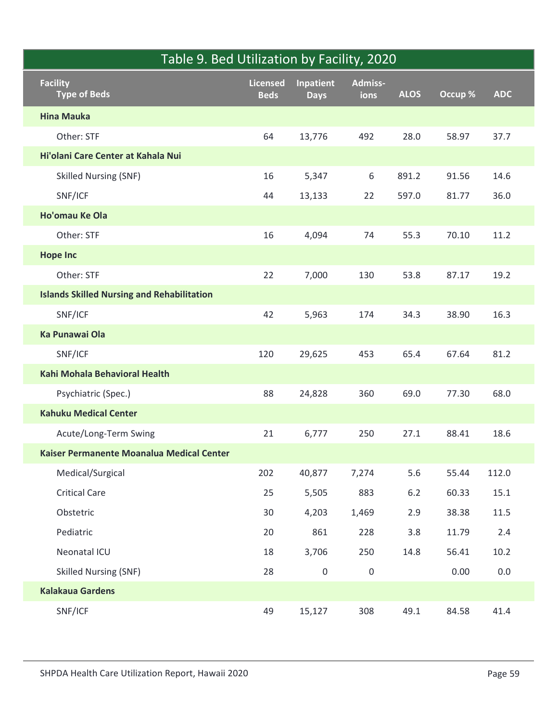|                                                   | Table 9. Bed Utilization by Facility, 2020 |                          |                 |             |         |            |
|---------------------------------------------------|--------------------------------------------|--------------------------|-----------------|-------------|---------|------------|
| <b>Facility</b><br>Type of Beds                   | Licensed<br><b>Beds</b>                    | Inpatient<br><b>Days</b> | Admiss-<br>ions | <b>ALOS</b> | Occup % | <b>ADC</b> |
| <b>Hina Mauka</b>                                 |                                            |                          |                 |             |         |            |
| Other: STF                                        | 64                                         | 13,776                   | 492             | 28.0        | 58.97   | 37.7       |
| Hi'olani Care Center at Kahala Nui                |                                            |                          |                 |             |         |            |
| <b>Skilled Nursing (SNF)</b>                      | 16                                         | 5,347                    | 6               | 891.2       | 91.56   | 14.6       |
| SNF/ICF                                           | 44                                         | 13,133                   | 22              | 597.0       | 81.77   | 36.0       |
| Ho'omau Ke Ola                                    |                                            |                          |                 |             |         |            |
| Other: STF                                        | 16                                         | 4,094                    | 74              | 55.3        | 70.10   | 11.2       |
| <b>Hope Inc</b>                                   |                                            |                          |                 |             |         |            |
| Other: STF                                        | 22                                         | 7,000                    | 130             | 53.8        | 87.17   | 19.2       |
| <b>Islands Skilled Nursing and Rehabilitation</b> |                                            |                          |                 |             |         |            |
| SNF/ICF                                           | 42                                         | 5,963                    | 174             | 34.3        | 38.90   | 16.3       |
| Ka Punawai Ola                                    |                                            |                          |                 |             |         |            |
| SNF/ICF                                           | 120                                        | 29,625                   | 453             | 65.4        | 67.64   | 81.2       |
| Kahi Mohala Behavioral Health                     |                                            |                          |                 |             |         |            |
| Psychiatric (Spec.)                               | 88                                         | 24,828                   | 360             | 69.0        | 77.30   | 68.0       |
| <b>Kahuku Medical Center</b>                      |                                            |                          |                 |             |         |            |
| Acute/Long-Term Swing                             | 21                                         | 6,777                    | 250             | 27.1        | 88.41   | 18.6       |
| Kaiser Permanente Moanalua Medical Center         |                                            |                          |                 |             |         |            |
| Medical/Surgical                                  | 202                                        | 40,877                   | 7,274           | $5.6\,$     | 55.44   | 112.0      |
| <b>Critical Care</b>                              | 25                                         | 5,505                    | 883             | $6.2$       | 60.33   | 15.1       |
| Obstetric                                         | 30                                         | 4,203                    | 1,469           | 2.9         | 38.38   | 11.5       |
| Pediatric                                         | 20                                         | 861                      | 228             | 3.8         | 11.79   | 2.4        |
| Neonatal ICU                                      | 18                                         | 3,706                    | 250             | 14.8        | 56.41   | 10.2       |
| <b>Skilled Nursing (SNF)</b>                      | 28                                         | $\pmb{0}$                | $\mathbf 0$     |             | 0.00    | $0.0\,$    |
| <b>Kalakaua Gardens</b>                           |                                            |                          |                 |             |         |            |
| SNF/ICF                                           | 49                                         | 15,127                   | 308             | 49.1        | 84.58   | 41.4       |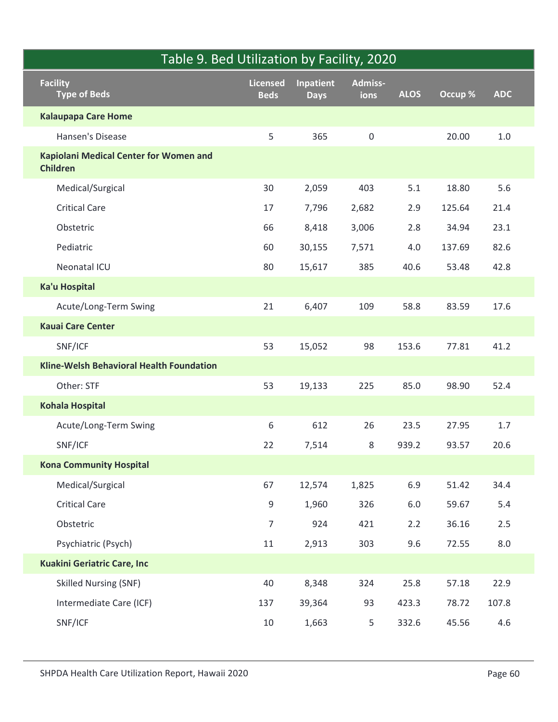| Table 9. Bed Utilization by Facility, 2020                |                |             |                     |             |         |            |
|-----------------------------------------------------------|----------------|-------------|---------------------|-------------|---------|------------|
| <b>Facility</b>                                           | Licensed       | Inpatient   | Admiss-             |             |         |            |
| <b>Type of Beds</b>                                       | <b>Beds</b>    | <b>Days</b> | ions                | <b>ALOS</b> | Occup % | <b>ADC</b> |
| <b>Kalaupapa Care Home</b>                                |                |             |                     |             |         |            |
| Hansen's Disease                                          | 5              | 365         | $\mathsf{O}\xspace$ |             | 20.00   | $1.0\,$    |
| Kapiolani Medical Center for Women and<br><b>Children</b> |                |             |                     |             |         |            |
| Medical/Surgical                                          | 30             | 2,059       | 403                 | 5.1         | 18.80   | 5.6        |
| <b>Critical Care</b>                                      | 17             | 7,796       | 2,682               | 2.9         | 125.64  | 21.4       |
| Obstetric                                                 | 66             | 8,418       | 3,006               | 2.8         | 34.94   | 23.1       |
| Pediatric                                                 | 60             | 30,155      | 7,571               | 4.0         | 137.69  | 82.6       |
| Neonatal ICU                                              | 80             | 15,617      | 385                 | 40.6        | 53.48   | 42.8       |
| <b>Ka'u Hospital</b>                                      |                |             |                     |             |         |            |
| Acute/Long-Term Swing                                     | 21             | 6,407       | 109                 | 58.8        | 83.59   | 17.6       |
| <b>Kauai Care Center</b>                                  |                |             |                     |             |         |            |
| SNF/ICF                                                   | 53             | 15,052      | 98                  | 153.6       | 77.81   | 41.2       |
| Kline-Welsh Behavioral Health Foundation                  |                |             |                     |             |         |            |
| Other: STF                                                | 53             | 19,133      | 225                 | 85.0        | 98.90   | 52.4       |
| <b>Kohala Hospital</b>                                    |                |             |                     |             |         |            |
| Acute/Long-Term Swing                                     | 6              | 612         | 26                  | 23.5        | 27.95   | 1.7        |
| SNF/ICF                                                   | 22             | 7,514       | 8                   | 939.2       | 93.57   | 20.6       |
| <b>Kona Community Hospital</b>                            |                |             |                     |             |         |            |
| Medical/Surgical                                          | 67             | 12,574      | 1,825               | 6.9         | 51.42   | 34.4       |
| <b>Critical Care</b>                                      | $9\,$          | 1,960       | 326                 | 6.0         | 59.67   | 5.4        |
| Obstetric                                                 | $\overline{7}$ | 924         | 421                 | 2.2         | 36.16   | $2.5\,$    |
| Psychiatric (Psych)                                       | 11             | 2,913       | 303                 | 9.6         | 72.55   | $8.0\,$    |
| <b>Kuakini Geriatric Care, Inc</b>                        |                |             |                     |             |         |            |
| <b>Skilled Nursing (SNF)</b>                              | 40             | 8,348       | 324                 | 25.8        | 57.18   | 22.9       |
| Intermediate Care (ICF)                                   | 137            | 39,364      | 93                  | 423.3       | 78.72   | 107.8      |
| SNF/ICF                                                   | 10             | 1,663       | 5                   | 332.6       | 45.56   | $4.6\,$    |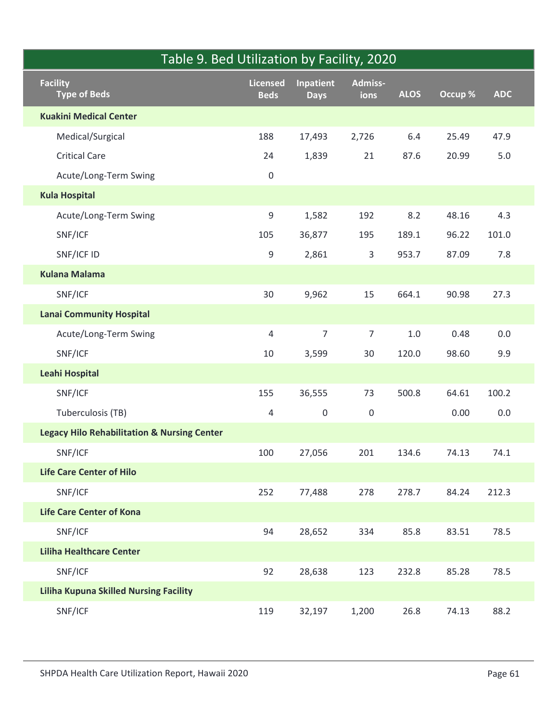|                                                        | Table 9. Bed Utilization by Facility, 2020 |                          |                     |             |         |            |
|--------------------------------------------------------|--------------------------------------------|--------------------------|---------------------|-------------|---------|------------|
| <b>Facility</b><br><b>Type of Beds</b>                 | <b>Licensed</b><br><b>Beds</b>             | Inpatient<br><b>Days</b> | Admiss-<br>ions     | <b>ALOS</b> | Occup % | <b>ADC</b> |
| <b>Kuakini Medical Center</b>                          |                                            |                          |                     |             |         |            |
| Medical/Surgical                                       | 188                                        | 17,493                   | 2,726               | 6.4         | 25.49   | 47.9       |
| <b>Critical Care</b>                                   | 24                                         | 1,839                    | 21                  | 87.6        | 20.99   | 5.0        |
| Acute/Long-Term Swing                                  | $\mathbf 0$                                |                          |                     |             |         |            |
| <b>Kula Hospital</b>                                   |                                            |                          |                     |             |         |            |
| Acute/Long-Term Swing                                  | 9                                          | 1,582                    | 192                 | 8.2         | 48.16   | 4.3        |
| SNF/ICF                                                | 105                                        | 36,877                   | 195                 | 189.1       | 96.22   | 101.0      |
| SNF/ICF ID                                             | 9                                          | 2,861                    | $\mathsf{3}$        | 953.7       | 87.09   | $7.8$      |
| <b>Kulana Malama</b>                                   |                                            |                          |                     |             |         |            |
| SNF/ICF                                                | 30                                         | 9,962                    | 15                  | 664.1       | 90.98   | 27.3       |
| <b>Lanai Community Hospital</b>                        |                                            |                          |                     |             |         |            |
| Acute/Long-Term Swing                                  | $\overline{4}$                             | $\overline{7}$           | $\overline{7}$      | $1.0\,$     | 0.48    | $0.0\,$    |
| SNF/ICF                                                | 10                                         | 3,599                    | $30\,$              | 120.0       | 98.60   | 9.9        |
| <b>Leahi Hospital</b>                                  |                                            |                          |                     |             |         |            |
| SNF/ICF                                                | 155                                        | 36,555                   | 73                  | 500.8       | 64.61   | 100.2      |
| Tuberculosis (TB)                                      | $\overline{4}$                             | $\mathsf{O}\xspace$      | $\mathsf{O}\xspace$ |             | 0.00    | $0.0\,$    |
| <b>Legacy Hilo Rehabilitation &amp; Nursing Center</b> |                                            |                          |                     |             |         |            |
| SNF/ICF                                                | 100                                        | 27,056                   | 201                 | 134.6       | 74.13   | 74.1       |
| <b>Life Care Center of Hilo</b>                        |                                            |                          |                     |             |         |            |
| SNF/ICF                                                | 252                                        | 77,488                   | 278                 | 278.7       | 84.24   | 212.3      |
| <b>Life Care Center of Kona</b>                        |                                            |                          |                     |             |         |            |
| SNF/ICF                                                | 94                                         | 28,652                   | 334                 | 85.8        | 83.51   | 78.5       |
| <b>Liliha Healthcare Center</b>                        |                                            |                          |                     |             |         |            |
| SNF/ICF                                                | 92                                         | 28,638                   | 123                 | 232.8       | 85.28   | 78.5       |
| <b>Liliha Kupuna Skilled Nursing Facility</b>          |                                            |                          |                     |             |         |            |
| SNF/ICF                                                | 119                                        | 32,197                   | 1,200               | 26.8        | 74.13   | 88.2       |
|                                                        |                                            |                          |                     |             |         |            |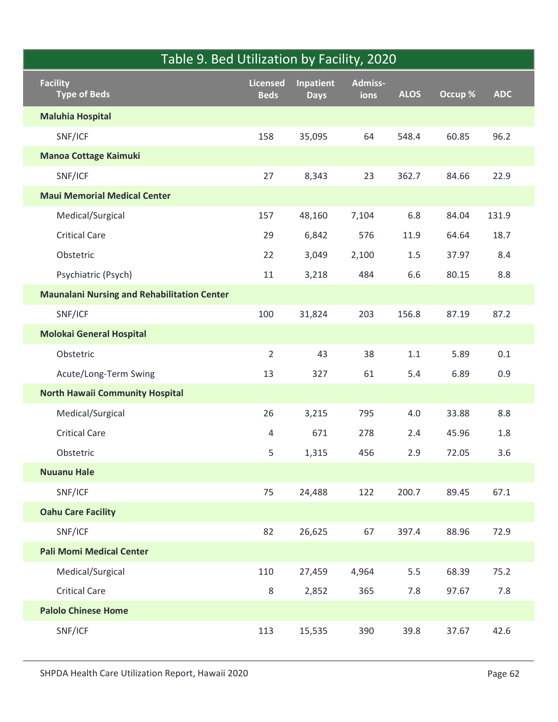| Table 9. Bed Utilization by Facility, 2020         |                                |                                 |                 |             |         |            |
|----------------------------------------------------|--------------------------------|---------------------------------|-----------------|-------------|---------|------------|
| <b>Facility</b><br>Type of Beds                    | <b>Licensed</b><br><b>Beds</b> | <b>Inpatient</b><br><b>Days</b> | Admiss-<br>ions | <b>ALOS</b> | Occup % | <b>ADC</b> |
| <b>Maluhia Hospital</b>                            |                                |                                 |                 |             |         |            |
| SNF/ICF                                            | 158                            | 35,095                          | 64              | 548.4       | 60.85   | 96.2       |
| <b>Manoa Cottage Kaimuki</b>                       |                                |                                 |                 |             |         |            |
| SNF/ICF                                            | 27                             | 8,343                           | 23              | 362.7       | 84.66   | 22.9       |
| <b>Maui Memorial Medical Center</b>                |                                |                                 |                 |             |         |            |
| Medical/Surgical                                   | 157                            | 48,160                          | 7,104           | 6.8         | 84.04   | 131.9      |
| <b>Critical Care</b>                               | 29                             | 6,842                           | 576             | 11.9        | 64.64   | 18.7       |
| Obstetric                                          | 22                             | 3,049                           | 2,100           | 1.5         | 37.97   | 8.4        |
| Psychiatric (Psych)                                | 11                             | 3,218                           | 484             | 6.6         | 80.15   | 8.8        |
| <b>Maunalani Nursing and Rehabilitation Center</b> |                                |                                 |                 |             |         |            |
| SNF/ICF                                            | 100                            | 31,824                          | 203             | 156.8       | 87.19   | 87.2       |
| <b>Molokai General Hospital</b>                    |                                |                                 |                 |             |         |            |
| Obstetric                                          | $\overline{2}$                 | 43                              | 38              | $1.1\,$     | 5.89    | $0.1\,$    |
| Acute/Long-Term Swing                              | 13                             | 327                             | 61              | $5.4$       | 6.89    | 0.9        |
| <b>North Hawaii Community Hospital</b>             |                                |                                 |                 |             |         |            |
| Medical/Surgical                                   | 26                             | 3,215                           | 795             | $4.0\,$     | 33.88   | $8.8\,$    |
| <b>Critical Care</b>                               | $\overline{4}$                 | 671                             | 278             | 2.4         | 45.96   | $1.8\,$    |
| Obstetric                                          | 5                              | 1,315                           | 456             | 2.9         | 72.05   | $3.6\,$    |
| <b>Nuuanu Hale</b>                                 |                                |                                 |                 |             |         |            |
| SNF/ICF                                            | 75                             | 24,488                          | 122             | 200.7       | 89.45   | 67.1       |
| <b>Oahu Care Facility</b>                          |                                |                                 |                 |             |         |            |
| SNF/ICF                                            | 82                             | 26,625                          | 67              | 397.4       | 88.96   | 72.9       |
| <b>Pali Momi Medical Center</b>                    |                                |                                 |                 |             |         |            |
| Medical/Surgical                                   | 110                            | 27,459                          | 4,964           | $5.5\,$     | 68.39   | 75.2       |
| <b>Critical Care</b>                               | 8                              | 2,852                           | 365             | $7.8$       | 97.67   | $7.8\,$    |
| <b>Palolo Chinese Home</b>                         |                                |                                 |                 |             |         |            |
| SNF/ICF                                            | 113                            | 15,535                          | 390             | 39.8        | 37.67   | 42.6       |
| SHPDA Health Care Utilization Report, Hawaii 2020  |                                |                                 |                 |             |         | Page 62    |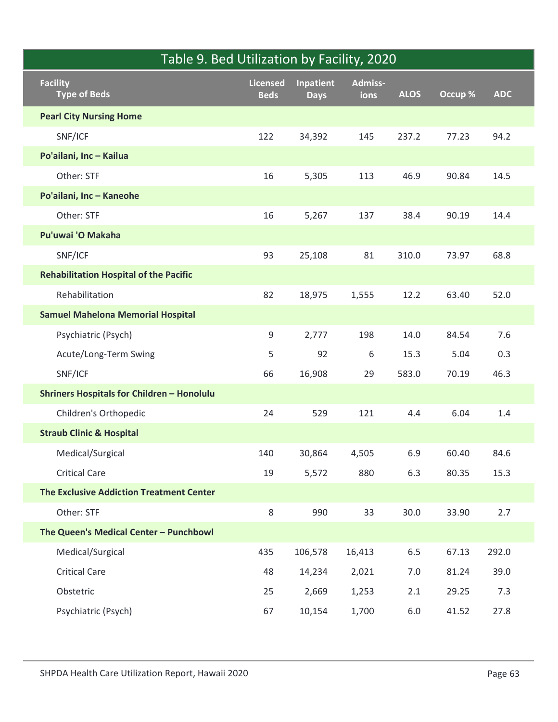|                                                   | Table 9. Bed Utilization by Facility, 2020 |                                 |                 |             |         |            |
|---------------------------------------------------|--------------------------------------------|---------------------------------|-----------------|-------------|---------|------------|
| <b>Facility</b><br>Type of Beds                   | <b>Licensed</b><br><b>Beds</b>             | <b>Inpatient</b><br><b>Days</b> | Admiss-<br>ions | <b>ALOS</b> | Occup % | <b>ADC</b> |
| <b>Pearl City Nursing Home</b>                    |                                            |                                 |                 |             |         |            |
| SNF/ICF                                           | 122                                        | 34,392                          | 145             | 237.2       | 77.23   | 94.2       |
| Po'ailani, Inc - Kailua                           |                                            |                                 |                 |             |         |            |
| Other: STF                                        | 16                                         | 5,305                           | 113             | 46.9        | 90.84   | 14.5       |
| Po'ailani, Inc - Kaneohe                          |                                            |                                 |                 |             |         |            |
| Other: STF                                        | 16                                         | 5,267                           | 137             | 38.4        | 90.19   | 14.4       |
| Pu'uwai 'O Makaha                                 |                                            |                                 |                 |             |         |            |
| SNF/ICF                                           | 93                                         | 25,108                          | 81              | 310.0       | 73.97   | 68.8       |
| <b>Rehabilitation Hospital of the Pacific</b>     |                                            |                                 |                 |             |         |            |
| Rehabilitation                                    | 82                                         | 18,975                          | 1,555           | 12.2        | 63.40   | 52.0       |
| <b>Samuel Mahelona Memorial Hospital</b>          |                                            |                                 |                 |             |         |            |
| Psychiatric (Psych)                               | 9                                          | 2,777                           | 198             | 14.0        | 84.54   | 7.6        |
| Acute/Long-Term Swing                             | 5                                          | 92                              | $\,$ 6 $\,$     | 15.3        | 5.04    | 0.3        |
| SNF/ICF                                           | 66                                         | 16,908                          | 29              | 583.0       | 70.19   | 46.3       |
| <b>Shriners Hospitals for Children - Honolulu</b> |                                            |                                 |                 |             |         |            |
| Children's Orthopedic                             | 24                                         | 529                             | 121             | 4.4         | 6.04    | $1.4\,$    |
| <b>Straub Clinic &amp; Hospital</b>               |                                            |                                 |                 |             |         |            |
| Medical/Surgical                                  | 140                                        | 30,864                          | 4,505           | 6.9         | 60.40   | 84.6       |
| <b>Critical Care</b>                              | 19                                         | 5,572                           | 880             | 6.3         | 80.35   | 15.3       |
| <b>The Exclusive Addiction Treatment Center</b>   |                                            |                                 |                 |             |         |            |
| Other: STF                                        | 8                                          | 990                             | 33              | 30.0        | 33.90   | 2.7        |
| The Queen's Medical Center - Punchbowl            |                                            |                                 |                 |             |         |            |
| Medical/Surgical                                  | 435                                        | 106,578                         | 16,413          | $6.5\,$     | 67.13   | 292.0      |
| <b>Critical Care</b>                              | 48                                         | 14,234                          | 2,021           | $7.0\,$     | 81.24   | 39.0       |
| Obstetric                                         | 25                                         | 2,669                           | 1,253           | 2.1         | 29.25   | 7.3        |
| Psychiatric (Psych)                               | 67                                         | 10,154                          | 1,700           | $6.0\,$     | 41.52   | 27.8       |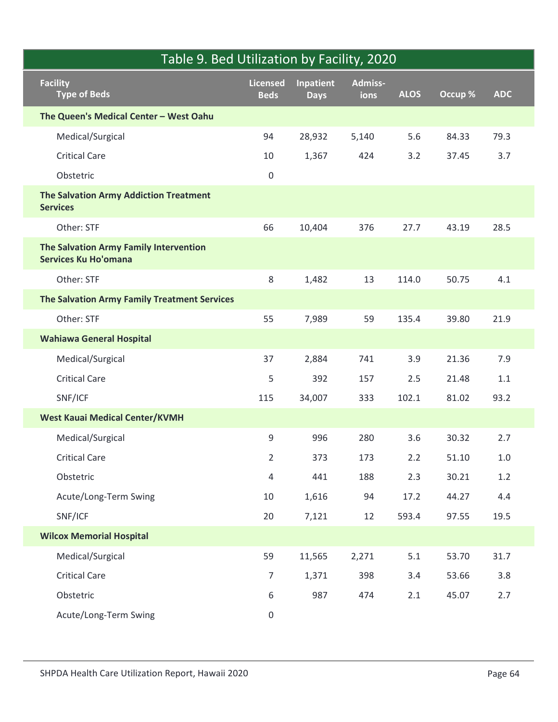|                 | Table 9. Bed Utilization by Facility, 2020                            |                         |                          |                        |             |         |            |
|-----------------|-----------------------------------------------------------------------|-------------------------|--------------------------|------------------------|-------------|---------|------------|
| <b>Facility</b> | <b>Type of Beds</b>                                                   | Licensed<br><b>Beds</b> | Inpatient<br><b>Days</b> | <b>Admiss-</b><br>ions | <b>ALOS</b> | Occup % | <b>ADC</b> |
|                 | The Queen's Medical Center - West Oahu                                |                         |                          |                        |             |         |            |
|                 | Medical/Surgical                                                      | 94                      | 28,932                   | 5,140                  | 5.6         | 84.33   | 79.3       |
|                 | <b>Critical Care</b>                                                  | 10                      | 1,367                    | 424                    | 3.2         | 37.45   | 3.7        |
| Obstetric       |                                                                       | $\mathbf 0$             |                          |                        |             |         |            |
| <b>Services</b> | The Salvation Army Addiction Treatment                                |                         |                          |                        |             |         |            |
|                 | Other: STF                                                            | 66                      | 10,404                   | 376                    | 27.7        | 43.19   | 28.5       |
|                 | The Salvation Army Family Intervention<br><b>Services Ku Ho'omana</b> |                         |                          |                        |             |         |            |
|                 | Other: STF                                                            | 8                       | 1,482                    | 13                     | 114.0       | 50.75   | 4.1        |
|                 | The Salvation Army Family Treatment Services                          |                         |                          |                        |             |         |            |
|                 | Other: STF                                                            | 55                      | 7,989                    | 59                     | 135.4       | 39.80   | 21.9       |
|                 | <b>Wahiawa General Hospital</b>                                       |                         |                          |                        |             |         |            |
|                 | Medical/Surgical                                                      | 37                      | 2,884                    | 741                    | 3.9         | 21.36   | 7.9        |
|                 | <b>Critical Care</b>                                                  | 5                       | 392                      | 157                    | $2.5\,$     | 21.48   | $1.1\,$    |
| SNF/ICF         |                                                                       | 115                     | 34,007                   | 333                    | 102.1       | 81.02   | 93.2       |
|                 | <b>West Kauai Medical Center/KVMH</b>                                 |                         |                          |                        |             |         |            |
|                 | Medical/Surgical                                                      | $\boldsymbol{9}$        | 996                      | 280                    | 3.6         | 30.32   | 2.7        |
|                 | <b>Critical Care</b>                                                  | $\overline{2}$          | 373                      | 173                    | 2.2         | 51.10   | $1.0\,$    |
| Obstetric       |                                                                       | $\overline{4}$          | 441                      | 188                    | 2.3         | 30.21   | $1.2\,$    |
|                 | Acute/Long-Term Swing                                                 | 10                      | 1,616                    | 94                     | 17.2        | 44.27   | $4.4\,$    |
| SNF/ICF         |                                                                       | 20                      | 7,121                    | 12                     | 593.4       | 97.55   | 19.5       |
|                 | <b>Wilcox Memorial Hospital</b>                                       |                         |                          |                        |             |         |            |
|                 | Medical/Surgical                                                      | 59                      | 11,565                   | 2,271                  | $5.1\,$     | 53.70   | 31.7       |
|                 | <b>Critical Care</b>                                                  | $\overline{7}$          | 1,371                    | 398                    | 3.4         | 53.66   | 3.8        |
| Obstetric       |                                                                       | $\,6\,$                 | 987                      | 474                    | 2.1         | 45.07   | 2.7        |
|                 | Acute/Long-Term Swing                                                 | $\mathsf{O}$            |                          |                        |             |         |            |